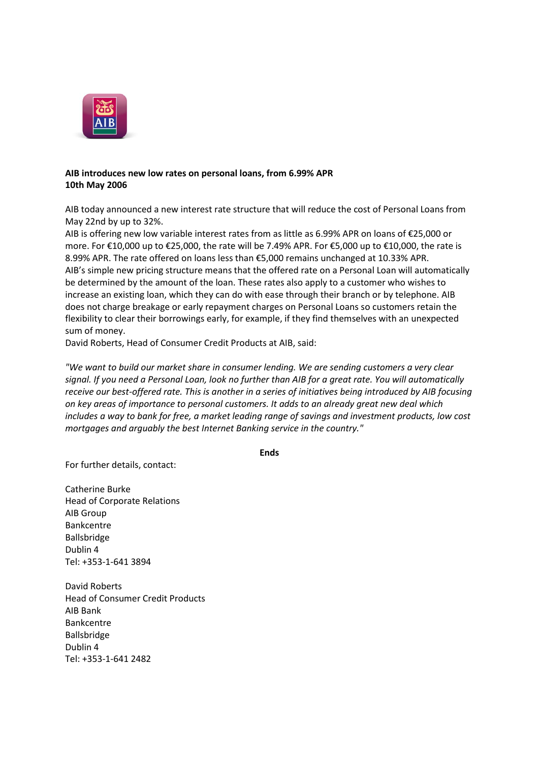

## **AIB introduces new low rates on personal loans, from 6.99% APR 10th May 2006**

AIB today announced a new interest rate structure that will reduce the cost of Personal Loans from May 22nd by up to 32%.

AIB is offering new low variable interest rates from as little as 6.99% APR on loans of €25,000 or more. For €10,000 up to €25,000, the rate will be 7.49% APR. For €5,000 up to €10,000, the rate is 8.99% APR. The rate offered on loans less than €5,000 remains unchanged at 10.33% APR. AIB's simple new pricing structure means that the offered rate on a Personal Loan will automatically be determined by the amount of the loan. These rates also apply to a customer who wishes to increase an existing loan, which they can do with ease through their branch or by telephone. AIB does not charge breakage or early repayment charges on Personal Loans so customers retain the flexibility to clear their borrowings early, for example, if they find themselves with an unexpected sum of money.

David Roberts, Head of Consumer Credit Products at AIB, said:

*"We want to build our market share in consumer lending. We are sending customers a very clear signal. If you need a Personal Loan, look no further than AIB for a great rate. You will automatically receive our best-offered rate. This is another in a series of initiatives being introduced by AIB focusing on key areas of importance to personal customers. It adds to an already great new deal which includes a way to bank for free, a market leading range of savings and investment products, low cost mortgages and arguably the best Internet Banking service in the country."*

**Ends**

For further details, contact:

Catherine Burke Head of Corporate Relations AIB Group Bankcentre Ballsbridge Dublin 4 Tel: +353-1-641 3894

David Roberts Head of Consumer Credit Products AIB Bank Bankcentre Ballsbridge Dublin 4 Tel: +353-1-641 2482